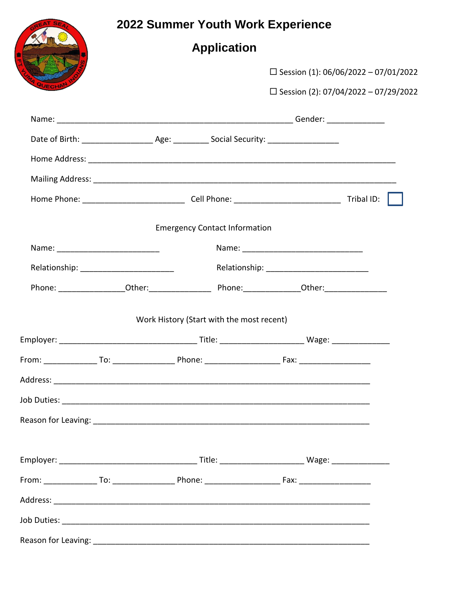|  |                                                                                                      | 2022 Summer Youth Work Experience |                                        |  |  |
|--|------------------------------------------------------------------------------------------------------|-----------------------------------|----------------------------------------|--|--|
|  | <b>Application</b>                                                                                   |                                   |                                        |  |  |
|  |                                                                                                      |                                   | □ Session (1): 06/06/2022 - 07/01/2022 |  |  |
|  |                                                                                                      |                                   | □ Session (2): 07/04/2022 - 07/29/2022 |  |  |
|  |                                                                                                      |                                   |                                        |  |  |
|  |                                                                                                      |                                   |                                        |  |  |
|  |                                                                                                      |                                   |                                        |  |  |
|  |                                                                                                      |                                   |                                        |  |  |
|  |                                                                                                      |                                   |                                        |  |  |
|  | <b>Emergency Contact Information</b>                                                                 |                                   |                                        |  |  |
|  |                                                                                                      |                                   |                                        |  |  |
|  |                                                                                                      |                                   |                                        |  |  |
|  | Phone: ___________________Other:_______________________Phone:___________________Other:______________ |                                   |                                        |  |  |
|  | Work History (Start with the most recent)                                                            |                                   |                                        |  |  |
|  |                                                                                                      |                                   |                                        |  |  |
|  |                                                                                                      |                                   |                                        |  |  |
|  |                                                                                                      |                                   |                                        |  |  |
|  |                                                                                                      |                                   |                                        |  |  |
|  |                                                                                                      |                                   |                                        |  |  |
|  |                                                                                                      |                                   |                                        |  |  |
|  |                                                                                                      |                                   |                                        |  |  |
|  |                                                                                                      |                                   |                                        |  |  |
|  |                                                                                                      |                                   |                                        |  |  |
|  |                                                                                                      |                                   |                                        |  |  |
|  |                                                                                                      |                                   |                                        |  |  |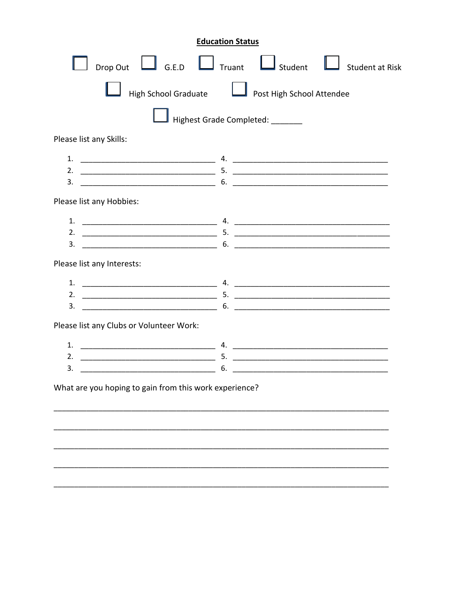| <b>Education Status</b>                                       |  |                                  |                 |  |  |
|---------------------------------------------------------------|--|----------------------------------|-----------------|--|--|
| Drop Out $\Box$ G.E.D $\Box$ Truant                           |  | $\Box$ Student                   | Student at Risk |  |  |
| High School Graduate <b>Let all Post High School Attendee</b> |  |                                  |                 |  |  |
|                                                               |  | Highest Grade Completed: _______ |                 |  |  |
| Please list any Skills:                                       |  |                                  |                 |  |  |
| 1.<br>3.                                                      |  |                                  |                 |  |  |
| Please list any Hobbies:                                      |  |                                  |                 |  |  |
| 1.<br><u> 2000 - Januar Amerikaanse kommunister (</u><br>3.   |  |                                  |                 |  |  |
| Please list any Interests:                                    |  |                                  |                 |  |  |
| 1.<br>3.                                                      |  |                                  |                 |  |  |
| Please list any Clubs or Volunteer Work:                      |  |                                  |                 |  |  |
| 1.<br>2.<br>6.                                                |  |                                  |                 |  |  |
| What are you hoping to gain from this work experience?        |  |                                  |                 |  |  |
|                                                               |  |                                  |                 |  |  |
|                                                               |  |                                  |                 |  |  |
|                                                               |  |                                  |                 |  |  |